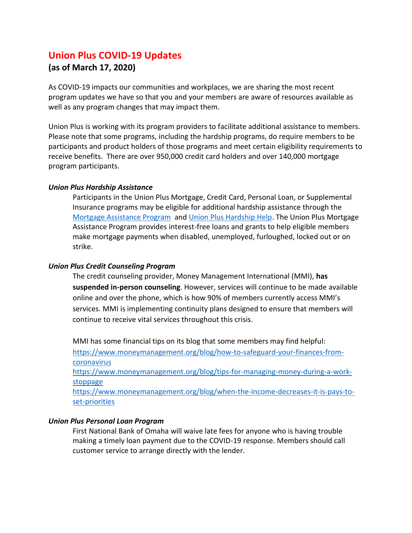# **Union Plus COVID-19 Updates**

# **(as of March 17, 2020)**

As COVID-19 impacts our communities and workplaces, we are sharing the most recent program updates we have so that you and your members are aware of resources available as well as any program changes that may impact them.

Union Plus is working with its program providers to facilitate additional assistance to members. Please note that some programs, including the hardship programs, do require members to be participants and product holders of those programs and meet certain eligibility requirements to receive benefits. There are over 950,000 credit card holders and over 140,000 mortgage program participants.

## *Union Plus Hardship Assistance*

Participants in the Union Plus Mortgage, Credit Card, Personal Loan, or Supplemental Insurance programs may be eligible for additional hardship assistance through the [Mortgage Assistance Program](https://www.unionplus.org/hardship-help/mortgage-assistance) and [Union Plus Hardship Help.](https://www.unionplus.org/hardship-help/union-plus-hardship-help-benefits) The Union Plus Mortgage Assistance Program provides interest-free loans and grants to help eligible members make mortgage payments when disabled, unemployed, furloughed, [locked out or on](https://www.unionplus.org/hardship-help/strike-benefits)  [strike.](https://www.unionplus.org/hardship-help/strike-benefits)

## *Union Plus Credit Counseling Program*

The credit counseling provider, Money Management International (MMI), **has suspended in-person counseling**. However, services will continue to be made available online and over the phone, which is how 90% of members currently access MMI's services. MMI is implementing continuity plans designed to ensure that members will continue to receive vital services throughout this crisis.

MMI has some financial tips on its blog that some members may find helpful: [https://www.moneymanagement.org/blog/how-to-safeguard-your-finances-from](https://www.moneymanagement.org/blog/how-to-safeguard-your-finances-from-coronavirus)[coronavirus](https://www.moneymanagement.org/blog/how-to-safeguard-your-finances-from-coronavirus) [https://www.moneymanagement.org/blog/tips-for-managing-money-during-a-work-](https://www.moneymanagement.org/blog/tips-for-managing-money-during-a-work-stoppage)

[stoppage](https://www.moneymanagement.org/blog/tips-for-managing-money-during-a-work-stoppage)

[https://www.moneymanagement.org/blog/when-the-income-decreases-it-is-pays-to](https://www.moneymanagement.org/blog/when-the-income-decreases-it-is-pays-to-set-priorities)[set-priorities](https://www.moneymanagement.org/blog/when-the-income-decreases-it-is-pays-to-set-priorities)

### *Union Plus Personal Loan Program*

First National Bank of Omaha will waive late fees for anyone who is having trouble making a timely loan payment due to the COVID-19 response. Members should call customer service to arrange directly with the lender.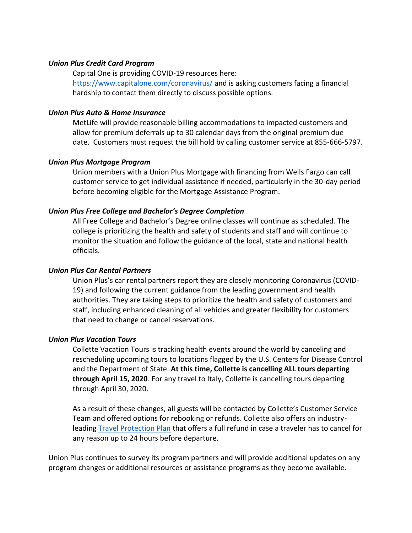#### *Union Plus Credit Card Program*

Capital One is providing COVID-19 resources here: <https://www.capitalone.com/coronavirus/> and is asking customers facing a financial hardship to contact them directly to discuss possible options.

#### *Union Plus Auto & Home Insurance*

MetLife will provide reasonable billing accommodations to impacted customers and allow for premium deferrals up to 30 calendar days from the original premium due date. Customers must request the bill hold by calling customer service at 855-666-5797.

#### *Union Plus Mortgage Program*

Union members with a Union Plus Mortgage with financing from Wells Fargo can call customer service to get individual assistance if needed, particularly in the 30-day period before becoming eligible for the Mortgage Assistance Program.

#### *Union Plus Free College and Bachelor's Degree Completion*

All Free College and Bachelor's Degree online classes will continue as scheduled. The college is prioritizing the health and safety of students and staff and will continue to monitor the situation and follow the guidance of the local, state and national health officials.

#### *Union Plus Car Rental Partners*

Union Plus's car rental partners report they are closely monitoring Coronavirus (COVID-19) and following the current guidance from the leading government and health authorities. They are taking steps to prioritize the health and safety of customers and staff, including enhanced cleaning of all vehicles and greater flexibility for customers that need to change or cancel reservations.

#### *Union Plus Vacation Tours*

Collette Vacation Tours is tracking health events around the world by canceling and rescheduling upcoming tours to locations flagged by the U.S. Centers for Disease Control and the Department of State. **At this time, Collette is cancelling ALL tours departing through April 15, 2020**. For any travel to Italy, Collette is cancelling tours departing through April 30, 2020.

As a result of these changes, all guests will be contacted by Collette's Customer Service Team and offered options for rebooking or refunds. Collette also offers an industryleading [Travel Protection Plan](https://www.gocollette.com/en/collette-gives-you-more/travel-protection?partner=Hometowne%20Cruise%20and%20Tour%20Center) that offers a full refund in case a traveler has to cancel for any reason up to 24 hours before departure.

Union Plus continues to survey its program partners and will provide additional updates on any program changes or additional resources or assistance programs as they become available.